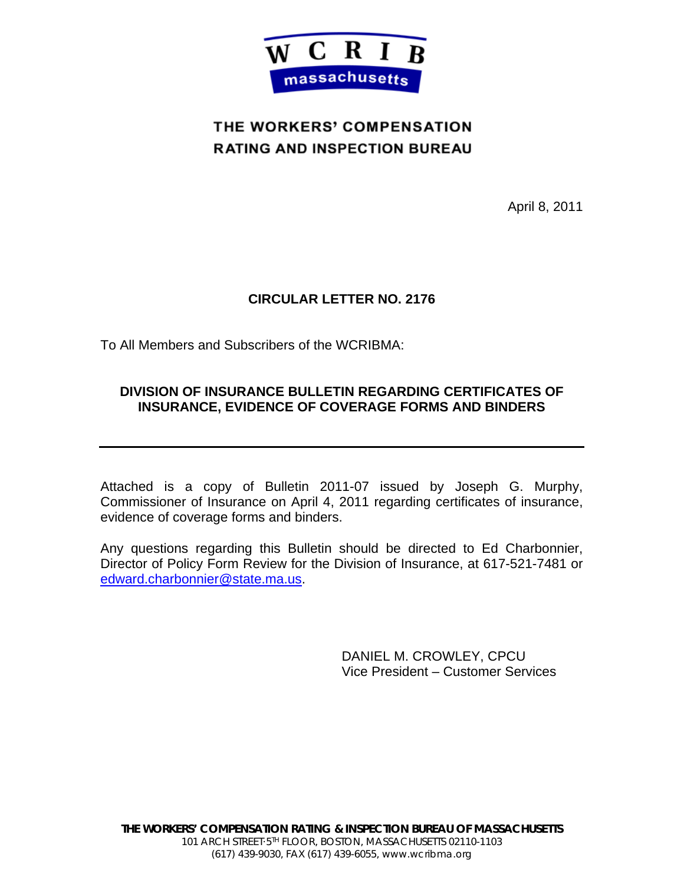

## THE WORKERS' COMPENSATION **RATING AND INSPECTION BUREAU**

April 8, 2011

### **CIRCULAR LETTER NO. 2176**

To All Members and Subscribers of the WCRIBMA:

## **DIVISION OF INSURANCE BULLETIN REGARDING CERTIFICATES OF INSURANCE, EVIDENCE OF COVERAGE FORMS AND BINDERS**

Attached is a copy of Bulletin 2011-07 issued by Joseph G. Murphy, Commissioner of Insurance on April 4, 2011 regarding certificates of insurance, evidence of coverage forms and binders.

Any questions regarding this Bulletin should be directed to Ed Charbonnier, Director of Policy Form Review for the Division of Insurance, at 617-521-7481 or edward.charbonnier@state.ma.us.

> DANIEL M. CROWLEY, CPCU Vice President – Customer Services